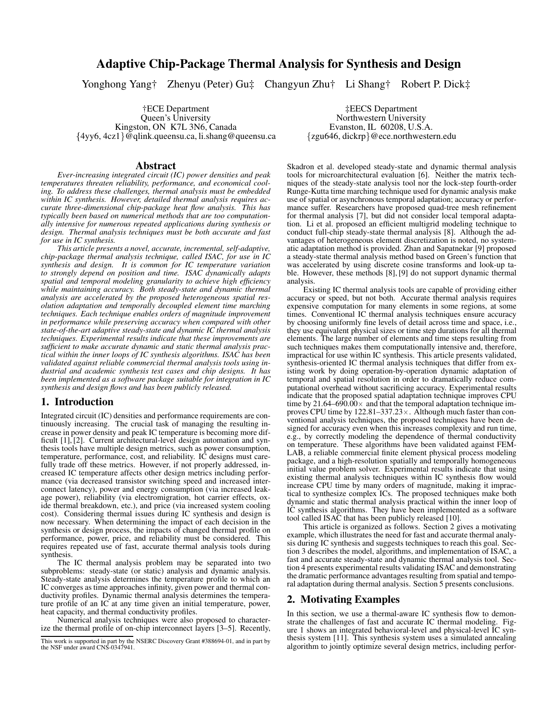# **Adaptive Chip-Package Thermal Analysis for Synthesis and Design**

Yonghong Yang† Zhenyu (Peter) Gu‡ Changyun Zhu† Li Shang† Robert P. Dick‡

†ECE Department Queen's University Kingston, ON K7L 3N6, Canada  $\{4yy6, 4cz1\}$ @qlink.queensu.ca, li.shang@queensu.ca

‡EECS Department Northwestern University Evanston, IL 60208, U.S.A.  ${zgu646, dickrp}$  @ece.northwestern.edu

### **Abstract**

*Ever-increasing integrated circuit (IC) power densities and peak temperatures threaten reliability, performance, and economical cooling. To address these challenges, thermal analysis must be embedded within IC synthesis. However, detailed thermal analysis requires accurate three-dimensional chip-package heat flow analysis. This has typically been based on numerical methods that are too computationally intensive for numerous repeated applications during synthesis or design. Thermal analysis techniques must be both accurate and fast for use in IC synthesis.*

*This article presents a novel, accurate, incremental, self-adaptive, chip-package thermal analysis technique, called ISAC, for use in IC synthesis and design. It is common for IC temperature variation to strongly depend on position and time. ISAC dynamically adapts spatial and temporal modeling granularity to achieve high efficiency while maintaining accuracy. Both steady-state and dynamic thermal analysis are accelerated by the proposed heterogeneous spatial resolution adaptation and temporally decoupled element time marching techniques. Each technique enables orders of magnitude improvement in performance while preserving accuracy when compared with other state-of-the-art adaptive steady-state and dynamic IC thermal analysis techniques. Experimental results indicate that these improvements are sufficient to make accurate dynamic and static thermal analysis practical within the inner loops of IC synthesis algorithms. ISAC has been validated against reliable commercial thermal analysis tools using industrial and academic synthesis test cases and chip designs. It has been implemented as a software package suitable for integration in IC synthesis and design flows and has been publicly released.*

## **1. Introduction**

Integrated circuit (IC) densities and performance requirements are continuously increasing. The crucial task of managing the resulting increase in power density and peak IC temperature is becoming more difficult [1], [2]. Current architectural-level design automation and synthesis tools have multiple design metrics, such as power consumption, temperature, performance, cost, and reliability. IC designs must carefully trade off these metrics. However, if not properly addressed, increased IC temperature affects other design metrics including performance (via decreased transistor switching speed and increased interconnect latency), power and energy consumption (via increased leakage power), reliability (via electromigration, hot carrier effects, oxide thermal breakdown, etc.), and price (via increased system cooling cost). Considering thermal issues during IC synthesis and design is now necessary. When determining the impact of each decision in the synthesis or design process, the impacts of changed thermal profile on performance, power, price, and reliability must be considered. This requires repeated use of fast, accurate thermal analysis tools during synthesis.

The IC thermal analysis problem may be separated into two subproblems: steady-state (or static) analysis and dynamic analysis. Steady-state analysis determines the temperature profile to which an IC converges as time approaches infinity, given power and thermal conductivity profiles. Dynamic thermal analysis determines the temperature profile of an IC at any time given an initial temperature, power, heat capacity, and thermal conductivity profiles.

Numerical analysis techniques were also proposed to characterize the thermal profile of on-chip interconnect layers [3–5]. Recently, Skadron et al. developed steady-state and dynamic thermal analysis tools for microarchitectural evaluation [6]. Neither the matrix techniques of the steady-state analysis tool nor the lock-step fourth-order Runge-Kutta time marching technique used for dynamic analysis make use of spatial or asynchronous temporal adaptation; accuracy or performance suffer. Researchers have proposed quad-tree mesh refinement for thermal analysis [7], but did not consider local temporal adaptation. Li et al. proposed an efficient multigrid modeling technique to conduct full-chip steady-state thermal analysis [8]. Although the advantages of heterogeneous element discretization is noted, no systematic adaptation method is provided. Zhan and Sapatnekar [9] proposed a steady-state thermal analysis method based on Green's function that was accelerated by using discrete cosine transforms and look-up table. However, these methods [8], [9] do not support dynamic thermal analysis.

Existing IC thermal analysis tools are capable of providing either accuracy or speed, but not both. Accurate thermal analysis requires expensive computation for many elements in some regions, at some times. Conventional IC thermal analysis techniques ensure accuracy by choosing uniformly fine levels of detail across time and space, i.e., they use equivalent physical sizes or time step durations for all thermal elements. The large number of elements and time steps resulting from such techniques makes them computationally intensive and, therefore, impractical for use within IC synthesis. This article presents validated, synthesis-oriented IC thermal analysis techniques that differ from existing work by doing operation-by-operation dynamic adaptation of temporal and spatial resolution in order to dramatically reduce computational overhead without sacrificing accuracy. Experimental results indicate that the proposed spatial adaptation technique improves CPU time by  $21.64 - 690.00 \times$  and that the temporal adaptation technique improves CPU time by  $122.81-337.23\times$ . Although much faster than conventional analysis techniques, the proposed techniques have been designed for accuracy even when this increases complexity and run time, e.g., by correctly modeling the dependence of thermal conductivity on temperature. These algorithms have been validated against FEM-LAB, a reliable commercial finite element physical process modeling package, and a high-resolution spatially and temporally homogeneous initial value problem solver. Experimental results indicate that using existing thermal analysis techniques within IC synthesis flow would increase CPU time by many orders of magnitude, making it impractical to synthesize complex ICs. The proposed techniques make both dynamic and static thermal analysis practical within the inner loop of IC synthesis algorithms. They have been implemented as a software tool called ISAC that has been publicly released [10].

This article is organized as follows. Section 2 gives a motivating example, which illustrates the need for fast and accurate thermal analysis during IC synthesis and suggests techniques to reach this goal. Section 3 describes the model, algorithms, and implementation of ISAC, a fast and accurate steady-state and dynamic thermal analysis tool. Section 4 presents experimental results validating ISAC and demonstrating the dramatic performance advantages resulting from spatial and temporal adaptation during thermal analysis. Section 5 presents conclusions.

## **2. Motivating Examples**

In this section, we use a thermal-aware IC synthesis flow to demonstrate the challenges of fast and accurate IC thermal modeling. Figure 1 shows an integrated behavioral-level and physical-level IC synthesis system [11]. This synthesis system uses a simulated annealing algorithm to jointly optimize several design metrics, including perfor-

This work is supported in part by the NSERC Discovery Grant #388694-01, and in part by the NSF under award CNS-0347941.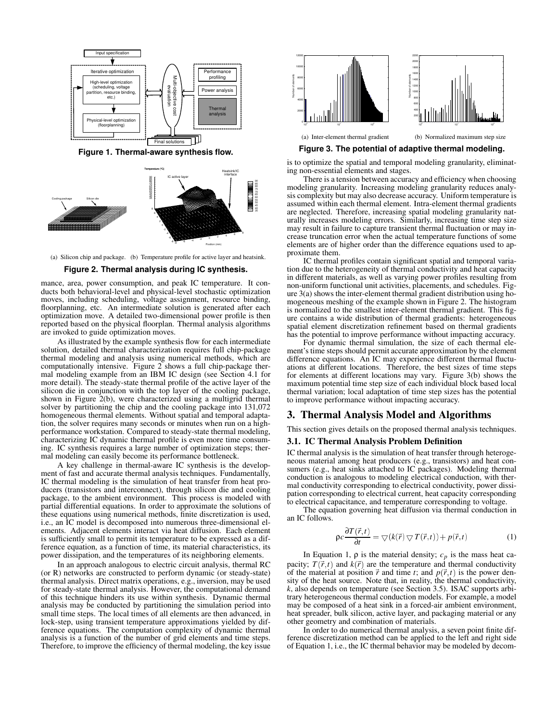

**Figure 1. Thermal-aware synthesis flow.**



(a) Silicon chip and package. (b) Temperature profile for active layer and heatsink.



mance, area, power consumption, and peak IC temperature. It conducts both behavioral-level and physical-level stochastic optimization moves, including scheduling, voltage assignment, resource binding, floorplanning, etc. An intermediate solution is generated after each optimization move. A detailed two-dimensional power profile is then reported based on the physical floorplan. Thermal analysis algorithms are invoked to guide optimization moves.

As illustrated by the example synthesis flow for each intermediate solution, detailed thermal characterization requires full chip-package thermal modeling and analysis using numerical methods, which are computationally intensive. Figure  $2$  shows a full chip-package thermal modeling example from an IBM IC design (see Section 4.1 for more detail). The steady-state thermal profile of the active layer of the silicon die in conjunction with the top layer of the cooling package, shown in Figure 2(b), were characterized using a multigrid thermal solver by partitioning the chip and the cooling package into 131,072 homogeneous thermal elements. Without spatial and temporal adaptation, the solver requires many seconds or minutes when run on a highperformance workstation. Compared to steady-state thermal modeling, characterizing IC dynamic thermal profile is even more time consuming. IC synthesis requires a large number of optimization steps; thermal modeling can easily become its performance bottleneck.

A key challenge in thermal-aware IC synthesis is the development of fast and accurate thermal analysis techniques. Fundamentally, IC thermal modeling is the simulation of heat transfer from heat producers (transistors and interconnect), through silicon die and cooling package, to the ambient environment. This process is modeled with partial differential equations. In order to approximate the solutions of these equations using numerical methods, finite discretization is used, i.e., an IC model is decomposed into numerous three-dimensional elements. Adjacent elements interact via heat diffusion. Each element is sufficiently small to permit its temperature to be expressed as a difference equation, as a function of time, its material characteristics, its power dissipation, and the temperatures of its neighboring elements.

In an approach analogous to electric circuit analysis, thermal RC (or R) networks are constructed to perform dynamic (or steady-state) thermal analysis. Direct matrix operations, e.g., inversion, may be used for steady-state thermal analysis. However, the computational demand of this technique hinders its use within synthesis. Dynamic thermal analysis may be conducted by partitioning the simulation period into small time steps. The local times of all elements are then advanced, in lock-step, using transient temperature approximations yielded by difference equations. The computation complexity of dynamic thermal analysis is a function of the number of grid elements and time steps. Therefore, to improve the efficiency of thermal modeling, the key issue



is to optimize the spatial and temporal modeling granularity, eliminating non-essential elements and stages.

There is a tension between accuracy and efficiency when choosing modeling granularity. Increasing modeling granularity reduces analysis complexity but may also decrease accuracy. Uniform temperature is assumed within each thermal element. Intra-element thermal gradients are neglected. Therefore, increasing spatial modeling granularity naturally increases modeling errors. Similarly, increasing time step size may result in failure to capture transient thermal fluctuation or may increase truncation error when the actual temperature functions of some elements are of higher order than the difference equations used to approximate them.

IC thermal profiles contain significant spatial and temporal variation due to the heterogeneity of thermal conductivity and heat capacity in different materials, as well as varying power profiles resulting from non-uniform functional unit activities, placements, and schedules. Figure  $3(a)$  shows the inter-element thermal gradient distribution using homogeneous meshing of the example shown in Figure 2. The histogram is normalized to the smallest inter-element thermal gradient. This figure contains a wide distribution of thermal gradients: heterogeneous spatial element discretization refinement based on thermal gradients has the potential to improve performance without impacting accuracy.

For dynamic thermal simulation, the size of each thermal element's time steps should permit accurate approximation by the element difference equations. An IC may experience different thermal fluctuations at different locations. Therefore, the best sizes of time steps for elements at different locations may vary. Figure 3(b) shows the maximum potential time step size of each individual block based local thermal variation; local adaptation of time step sizes has the potential to improve performance without impacting accuracy.

## **3. Thermal Analysis Model and Algorithms**

This section gives details on the proposed thermal analysis techniques.

### **3.1. IC Thermal Analysis Problem Definition**

IC thermal analysis is the simulation of heat transfer through heterogeneous material among heat producers (e.g., transistors) and heat consumers (e.g., heat sinks attached to IC packages). Modeling thermal conduction is analogous to modeling electrical conduction, with thermal conductivity corresponding to electrical conductivity, power dissipation corresponding to electrical current, heat capacity corresponding to electrical capacitance, and temperature corresponding to voltage.

The equation governing heat diffusion via thermal conduction in an IC follows.

$$
\rho c \frac{\partial T(\vec{r},t)}{\partial t} = \nabla (k(\vec{r}) \nabla T(\vec{r},t)) + p(\vec{r},t)
$$
(1)

In Equation 1,  $ρ$  is the material density;  $c<sub>p</sub>$  is the mass heat capacity;  $T(\vec{r}, t)$  and  $k(\vec{r})$  are the temperature and thermal conductivity of the material at position  $\vec{r}$  and time *t*; and  $p(\vec{r}, t)$  is the power density of the heat source. Note that, in reality, the thermal conductivity, *k*, also depends on temperature (see Section 3.5). ISAC supports arbitrary heterogeneous thermal conduction models. For example, a model may be composed of a heat sink in a forced-air ambient environment, heat spreader, bulk silicon, active layer, and packaging material or any other geometry and combination of materials.

In order to do numerical thermal analysis, a seven point finite difference discretization method can be applied to the left and right side of Equation 1, i.e., the IC thermal behavior may be modeled by decom-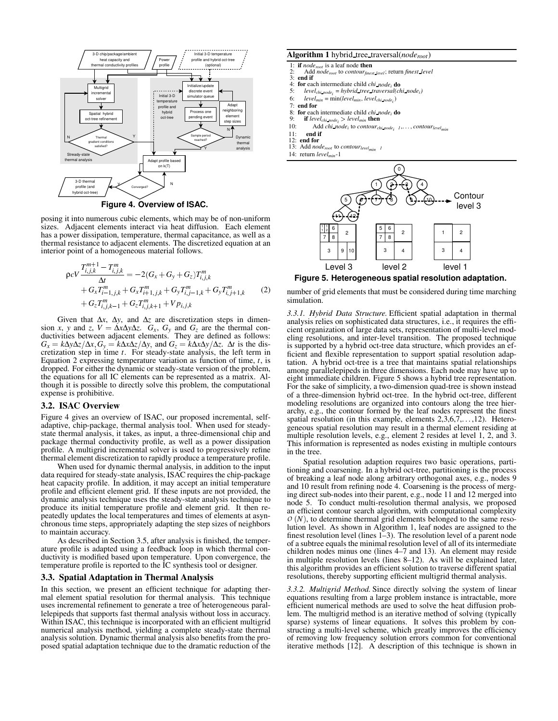

posing it into numerous cubic elements, which may be of non-uniform sizes. Adjacent elements interact via heat diffusion. Each element has a power dissipation, temperature, thermal capacitance, as well as a thermal resistance to adjacent elements. The discretized equation at an interior point of a homogeneous material follows.

$$
\rho c V \frac{T_{i,j,k}^{m+1} - T_{i,j,k}^m}{\Delta t} = -2(G_x + G_y + G_z) T_{i,j,k}^m + G_x T_{i-1,j,k}^m + G_x T_{i+1,j,k}^m + G_y T_{i,j-1,k}^m + G_y T_{i,j+1,k}^m
$$
(2)  
+  $G_z T_{i,j,k-1}^m + G_z T_{i,j,k+1}^m + V p_{i,j,k}$ 

Given that ∆*x*, ∆*y*, and ∆*z* are discretization steps in dimension *x*, *y* and *z*,  $V = \Delta x \Delta y \Delta z$ .  $G_x$ ,  $G_y$  and  $G_z$  are the thermal conductivities between adjacent elements. They are defined as follows:  $G_x = k\Delta y\Delta z/\Delta x$ ,  $G_y = k\Delta x\Delta z/\Delta y$ , and  $G_z = k\Delta x\Delta y/\Delta z$ .  $\Delta t$  is the discretization step in time *t*. For steady-state analysis, the left term in Equation 2 expressing temperature variation as function of time, *t*, is dropped. For either the dynamic or steady-state version of the problem, the equations for all IC elements can be represented as a matrix. Although it is possible to directly solve this problem, the computational expense is prohibitive.

#### **3.2. ISAC Overview**

Figure 4 gives an overview of ISAC, our proposed incremental, selfadaptive, chip-package, thermal analysis tool. When used for steadystate thermal analysis, it takes, as input, a three-dimensional chip and package thermal conductivity profile, as well as a power dissipation profile. A multigrid incremental solver is used to progressively refine thermal element discretization to rapidly produce a temperature profile.

When used for dynamic thermal analysis, in addition to the input data required for steady-state analysis, ISAC requires the chip-package heat capacity profile. In addition, it may accept an initial temperature profile and efficient element grid. If these inputs are not provided, the dynamic analysis technique uses the steady-state analysis technique to produce its initial temperature profile and element grid. It then repeatedly updates the local temperatures and times of elements at asynchronous time steps, appropriately adapting the step sizes of neighbors to maintain accuracy.

As described in Section 3.5, after analysis is finished, the temperature profile is adapted using a feedback loop in which thermal conductivity is modified based upon temperature. Upon convergence, the temperature profile is reported to the IC synthesis tool or designer.

## **3.3. Spatial Adaptation in Thermal Analysis**

In this section, we present an efficient technique for adapting thermal element spatial resolution for thermal analysis. This technique uses incremental refinement to generate a tree of heterogeneous parallelepipeds that supports fast thermal analysis without loss in accuracy. Within ISAC, this technique is incorporated with an efficient multigrid numerical analysis method, yielding a complete steady-state thermal analysis solution. Dynamic thermal analysis also benefits from the proposed spatial adaptation technique due to the dramatic reduction of the

#### **Algorithm 1** hybrid tree traversal(*noderoot*)

- 
- 1: **if**  $node_{root}$  is a leaf node **then**<br>2: Add  $node_{root}$  to  $contour_{fines}$ <br>3: **end if** 2: Add *noderoot* to *contourfinest level*; return *finest level*
- 3: **end if**
- 4: **for** each intermediate child *chi node*<sup>*i*</sup> **do**<br>5: *level<sub>chi node*</sub> = *hybrid\_tree\_traversal(c)* 5: *levelchi nodei* = *hybrid tree traversal(chi nodei)*
- 6: *levelmin* = min(*levelmin*, *levelchi nodei* )
- 7: **end for**
- 8: **for** each intermediate child *chi node*<sup>*i*</sup> **do**<br>9. **if** level times  $\geq$  level in **then**
- 9: **if**  $level_{chi\_node_i} > level_{min}$  **then**<br>10: Add *chi node*: to contour. 10: Add *chi node<sup>i</sup>* to *contourchi nodei1*,. . . , *contourlevelmin*
- 11: **end if**
- 12: **end for**
- 13: Add *noderoot* to *contourlevelmin<sup>1</sup>*
- 14: return *levelmin*-1



**Figure 5. Heterogeneous spatial resolution adaptation.**

number of grid elements that must be considered during time marching simulation.

*3.3.1. Hybrid Data Structure.* Efficient spatial adaptation in thermal analysis relies on sophisticated data structures, i.e., it requires the efficient organization of large data sets, representation of multi-level modeling resolutions, and inter-level transition. The proposed technique is supported by a hybrid oct-tree data structure, which provides an efficient and flexible representation to support spatial resolution adaptation. A hybrid oct-tree is a tree that maintains spatial relationships among parallelepipeds in three dimensions. Each node may have up to eight immediate children. Figure 5 shows a hybrid tree representation. For the sake of simplicity, a two-dimension quad-tree is shown instead of a three-dimension hybrid oct-tree. In the hybrid oct-tree, different modeling resolutions are organized into contours along the tree hierarchy, e.g., the contour formed by the leaf nodes represent the finest spatial resolution (in this example, elements 2,3,6,7,...,12). Heterogeneous spatial resolution may result in a thermal element residing at multiple resolution levels, e.g., element 2 resides at level 1, 2, and 3. This information is represented as nodes existing in multiple contours in the tree.

Spatial resolution adaption requires two basic operations, partitioning and coarsening. In a hybrid oct-tree, partitioning is the process of breaking a leaf node along arbitrary orthogonal axes, e.g., nodes 9 and 10 result from refining node 4. Coarsening is the process of merging direct sub-nodes into their parent, e.g., node 11 and 12 merged into node 5. To conduct multi-resolution thermal analysis, we proposed an efficient contour search algorithm, with computational complexity  $O(N)$ , to determine thermal grid elements belonged to the same resolution level. As shown in Algorithm 1, leaf nodes are assigned to the finest resolution level (lines 1–3). The resolution level of a parent node of a subtree equals the minimal resolution level of all of itsintermediate children nodes minus one (lines 4–7 and 13). An element may reside in multiple resolution levels (lines 8–12). As will be explained later, this algorithm provides an efficient solution to traverse different spatial resolutions, thereby supporting efficient multigrid thermal analysis.

*3.3.2. Multigrid Method.* Since directly solving the system of linear equations resulting from a large problem instance is intractable, more efficient numerical methods are used to solve the heat diffusion problem. The multigrid method is an iterative method of solving (typically sparse) systems of linear equations. It solves this problem by constructing a multi-level scheme, which greatly improves the efficiency of removing low frequency solution errors common for conventional iterative methods [12]. A description of this technique is shown in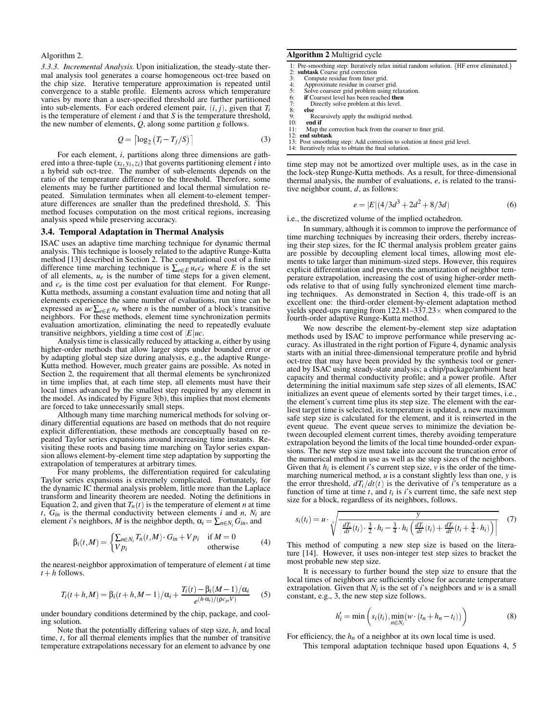*3.3.3. Incremental Analysis.* Upon initialization, the steady-state thermal analysis tool generates a coarse homogeneous oct-tree based on the chip size. Iterative temperature approximation is repeated until convergence to a stable profile. Elements across which temperature varies by more than a user-specified threshold are further partitioned into sub-elements. For each ordered element pair,  $(i, j)$ , given that  $T_i$ is the temperature of element *i* and that *S* is the temperature threshold, the new number of elements, *Q*, along some partition *g* follows.

$$
Q = \left[ \log_2 \left( T_i - T_j / S \right) \right] \tag{3}
$$

For each element, *i*, partitions along three dimensions are gathered into a three-tuple  $(x_i, y_i, z_i)$  that governs partitioning element *i* into a hybrid sub oct-tree. The number of sub-elements depends on the ratio of the temperature difference to the threshold. Therefore, some elements may be further partitioned and local thermal simulation repeated. Simulation terminates when all element-to-element temperature differences are smaller than the predefined threshold, *S*. This method focuses computation on the most critical regions, increasing analysis speed while preserving accuracy.

#### **3.4. Temporal Adaptation in Thermal Analysis**

ISAC uses an adaptive time marching technique for dynamic thermal analysis. This technique is loosely related to the adaptive Runge-Kutta method [13] described in Section 2. The computational cost of a finite difference time marching technique is  $\sum_{e \in E} u_e c_e$  where *E* is the set of all elements,  $u_e$  is the number of time steps for a given element, and *ce* is the time cost per evaluation for that element. For Runge-Kutta methods, assuming a constant evaluation time and noting that all elements experience the same number of evaluations, run time can be expressed as  $uc \sum_{e \in E} n_e$  where *n* is the number of a block's transitive neighbors. For these methods, element time synchronization permits evaluation amortization, eliminating the need to repeatedly evaluate transitive neighbors, yielding a time cost of  $|E|$ *uc*.

Analysis time is classically reduced by attacking *u*, either by using higher-order methods that allow larger steps under bounded error or by adapting global step size during analysis, e.g., the adaptive Runge-Kutta method. However, much greater gains are possible. As noted in Section 2, the requirement that all thermal elements be synchronized in time implies that, at each time step, all elements must have their local times advanced by the smallest step required by any element in the model. As indicated by Figure 3(b), this implies that most elements are forced to take unnecessarily small steps.

Although many time marching numerical methods for solving ordinary differential equations are based on methods that do not require explicit differentiation, these methods are conceptually based on repeated Taylor series expansions around increasing time instants. Revisiting these roots and basing time marching on Taylor series expansion allows element-by-element time step adaptation by supporting the extrapolation of temperatures at arbitrary times.

For many problems, the differentiation required for calculating Taylor series expansions is extremely complicated. Fortunately, for the dynamic IC thermal analysis problem, little more than the Laplace transform and linearity theorem are needed. Noting the definitions in Equation 2, and given that  $T_n(t)$  is the temperature of element *n* at time  $t$ ,  $G_{in}$  is the thermal conductivity between elements *i* and *n*,  $N_i$  are element *i*'s neighbors, *M* is the neighbor depth,  $\alpha_i = \sum_{n \in N_i} G_{in}$ , and

$$
\beta_i(t,M) = \begin{cases}\n\sum_{n \in N_i} T_n(t,M) \cdot G_{in} + V p_i & \text{if } M = 0 \\
V p_i & \text{otherwise}\n\end{cases}
$$
\n(4)

the nearest-neighbor approximation of temperature of element *i* at time  $t + h$  follows.

$$
T_i(t+h,M) = \beta_i(t+h,M-1)/\alpha_i + \frac{T_i(t) - \beta_i(M-1)/\alpha_i}{e^{(h \cdot \alpha_i)/(p c_{pi} V)}} \quad (5)
$$

under boundary conditions determined by the chip, package, and cooling solution.

Note that the potentially differing values of step size, *h*, and local time, *t*, for all thermal elements implies that the number of transitive temperature extrapolations necessary for an element to advance by one

#### **Algorithm 2** Multigrid cycle

1: Pre-smoothing step: Iteratively relax initial random solution. {HF error eliminated.}

- Compute residue from finer grid.
- 2: **subtask** Coarse grid correction<br>3: Compute residue from finer  $\frac{4}{5}$ : Approximate residue in coars<br>5: Solve coarseer grid problem Approximate residue in coarser grid.
- 5: Solve coarseer grid problem using relaxation.<br>6: **if** Coarsest level has been reached **then**<br>7: Directly solve problem at this level.
- 6: **if** Coarsest level has been reached **then** 7: Directly solve problem at this level.
- 
- 8: **else**
- 9: Recursively apply the multigrid method.<br>10: **end if**
- 10: **end if** Map the correction back from the coarser to finer grid.
- 12: **end subtask**
- 13: Post smoothing step: Add correction to solution at finest grid level. 14: Iteratively relax to obtain the final solution.
- 

time step may not be amortized over multiple uses, as in the case in the lock-step Runge-Kutta methods. As a result, for three-dimensional thermal analysis, the number of evaluations, *e*, is related to the transitive neighbor count, *d*, as follows:

$$
e = |E|(4/3d^3 + 2d^2 + 8/3d)
$$
 (6)

i.e., the discretized volume of the implied octahedron.

In summary, although it is common to improve the performance of time marching techniques by increasing their orders, thereby increasing their step sizes, for the IC thermal analysis problem greater gains are possible by decoupling element local times, allowing most elements to take larger than minimum-sized steps. However, this requires explicit differentiation and prevents the amortization of neighbor temperature extrapolation, increasing the cost of using higher-order methods relative to that of using fully synchronized element time marching techniques. As demonstrated in Section 4, this trade-off is an excellent one: the third-order element-by-element adaptation method yields speed-ups ranging from  $122.81-337.23\times$  when compared to the fourth-order adaptive Runge-Kutta method.

We now describe the element-by-element step size adaptation methods used by ISAC to improve performance while preserving accuracy. As illustrated in the right portion of Figure 4, dynamic analysis starts with an initial three-dimensional temperature profile and hybrid oct-tree that may have been provided by the synthesis tool or generated by ISAC using steady-state analysis; a chip/package/ambient heat capacity and thermal conductivity profile; and a power profile. After determining the initial maximum safe step sizes of all elements, ISAC initializes an event queue of elements sorted by their target times, i.e., the element's current time plus its step size. The element with the earliest target time is selected, its temperature is updated, a new maximum safe step size is calculated for the element, and it is reinserted in the event queue. The event queue serves to minimize the deviation between decoupled element current times, thereby avoiding temperature extrapolation beyond the limits of the local time bounded-order expansions. The new step size must take into account the truncation error of the numerical method in use as well as the step sizes of the neighbors. Given that  $h_i$  is element *i*'s current step size,  $\nu$  is the order of the timemarching numerical method, *u* is a constant slightly less than one, *y* is the error threshold,  $dT_i/dt(t)$  is the derivative of *i*'s temperature as a function of time at time  $t$ , and  $t_i$  is  $i$ 's current time, the safe next step size for a block, regardless of its neighbors, follows.

$$
s_i(t_i) = u \cdot \sqrt[n]{\frac{dT_i}{dt}(t_i) \cdot \frac{3}{2} \cdot h_i - \frac{3}{4} \cdot h_i \left(\frac{dT_i}{dt}(t_i) + \frac{dT_i}{dt}(t_i + \frac{3}{4} \cdot h_i)\right)}
$$
(7)

This method of computing a new step size is based on the literature [14]. However, it uses non-integer test step sizes to bracket the most probable new step size.

It is necessary to further bound the step size to ensure that the local times of neighbors are sufficiently close for accurate temperature extrapolation. Given that  $N_i$  is the set of *i*'s neighbors and *w* is a small constant, e.g., 3, the new step size follows.

$$
h'_{i} = \min\left(s_{i}(t_{i}), \min_{n \in N_{i}}(w \cdot (t_{n} + h_{n} - t_{i}))\right)
$$
(8)

For efficiency, the *hn* of a neighbor at its own local time is used.

This temporal adaptation technique based upon Equations 4, 5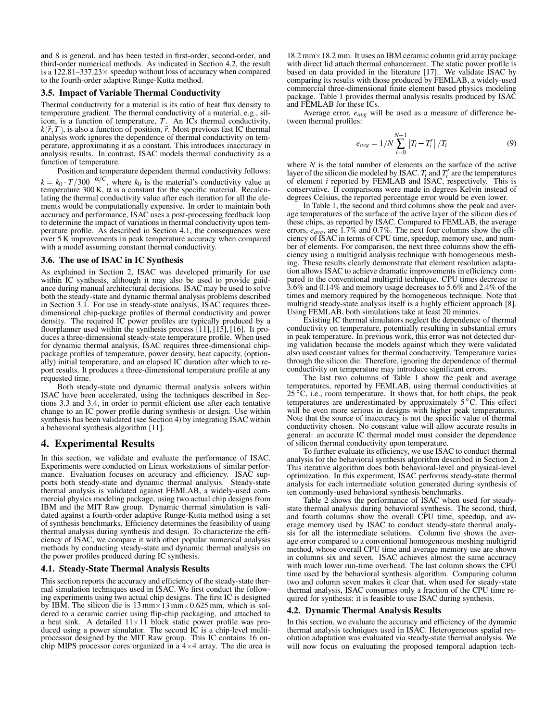and 8 is general, and has been tested in first-order, second-order, and third-order numerical methods. As indicated in Section 4.2, the result is a  $122.81-337.23\times$  speedup without loss of accuracy when compared to the fourth-order adaptive Runge-Kutta method.

#### **3.5. Impact of Variable Thermal Conductivity**

Thermal conductivity for a material is its ratio of heat flux density to temperature gradient. The thermal conductivity of a material, e.g., silicon, is a function of temperature, *T*. An ICs thermal conductivity,  $k(\vec{r}, T)$ , is also a function of position,  $\vec{r}$ . Most previous fast IC thermal analysis work ignores the dependence of thermal conductivity on temperature, approximating it as a constant. This introduces inaccuracy in analysis results. In contrast, ISAC models thermal conductivity as a function of temperature.

Position and temperature dependent thermal conductivity follows:  $k = k_0 \cdot T / 300^{-\alpha/C}$ , where  $k_0$  is the material's conductivity value at temperature 300 K,  $\alpha$  is a constant for the specific material. Recalculating the thermal conductivity value after each iteration for all the elements would be computationally expensive. In order to maintain both accuracy and performance, ISAC uses a post-processing feedback loop to determine the impact of variations in thermal conductivity upon temperature profile. As described in Section 4.1, the consequences were over 5 K improvements in peak temperature accuracy when compared with a model assuming constant thermal conductivity.

### **3.6. The use of ISAC in IC Synthesis**

As explained in Section 2, ISAC was developed primarily for use within IC synthesis, although it may also be used to provide guidance during manual architectural decisions. ISAC may be used to solve both the steady-state and dynamic thermal analysis problems described in Section 3.1. For use in steady-state analysis, ISAC requires threedimensional chip-package profiles of thermal conductivity and power density. The required IC power profiles are typically produced by a floorplanner used within the synthesis process [11], [15], [16]. It produces a three-dimensional steady-state temperature profile. When used for dynamic thermal analysis, ISAC requires three-dimensional chippackage profiles of temperature, power density, heat capacity, (optionally) initial temperature, and an elapsed IC duration after which to report results. It produces a three-dimensional temperature profile at any requested time.

Both steady-state and dynamic thermal analysis solvers within ISAC have been accelerated, using the techniques described in Sections 3.3 and 3.4, in order to permit efficient use after each tentative change to an IC power profile during synthesis or design. Use within synthesis has been validated (see Section 4) by integrating ISAC within a behavioral synthesis algorithm [11].

## **4. Experimental Results**

In this section, we validate and evaluate the performance of ISAC. Experiments were conducted on Linux workstations of similar performance. Evaluation focuses on accuracy and efficiency. ISAC supports both steady-state and dynamic thermal analysis. Steady-state thermal analysis is validated against FEMLAB, a widely-used commercial physics modeling package, using two actual chip designs from IBM and the MIT Raw group. Dynamic thermal simulation is validated against a fourth-order adaptive Runge-Kutta method using a set of synthesis benchmarks. Efficiency determines the feasibility of using thermal analysis during synthesis and design. To characterize the efficiency of ISAC, we compare it with other popular numerical analysis methods by conducting steady-state and dynamic thermal analysis on the power profiles produced during IC synthesis.

## **4.1. Steady-State Thermal Analysis Results**

This section reports the accuracy and efficiency of the steady-state thermal simulation techniques used in ISAC. We first conduct the following experiments using two actual chip designs. The first IC is designed by IBM. The silicon die is  $13 \text{ mm} \times 13 \text{ mm} \times 0.625 \text{ mm}$ , which is soldered to a ceramic carrier using flip-chip packaging, and attached to a heat sink. A detailed  $11 \times 11$  block static power profile was produced using a power simulator. The second IC is a chip-level multiprocessor designed by the MIT Raw group. This IC contains 16 onchip MIPS processor cores organized in a  $4\times4$  array. The die area is

18.2 mm-18.2 mm. It uses an IBM ceramic column grid array package with direct lid attach thermal enhancement. The static power profile is based on data provided in the literature [17]. We validate ISAC by comparing its results with those produced by FEMLAB, a widely-used commercial three-dimensional finite element based physics modeling package. Table 1 provides thermal analysis results produced by ISAC and FEMLAB for these ICs.

Average error, *eavg* will be used as a measure of difference between thermal profiles:

$$
e_{avg} = 1/N \sum_{i=0}^{N-1} |T_i - T_i'| / T_i
$$
 (9)

where *N* is the total number of elements on the surface of the active layer of the silicon die modeled by ISAC.  $T_i$  and  $T'_i$  are the temperatures of element *i* reported by FEMLAB and ISAC, respectively. This is conservative. If comparisons were made in degrees Kelvin instead of degrees Celsius, the reported percentage error would be even lower.

In Table 1, the second and third columns show the peak and average temperatures of the surface of the active layer of the silicon dies of these chips, as reported by ISAC. Compared to FEMLAB, the average errors, *eavg*, are 1.7% and 0.7%. The next four columns show the efficiency of ISAC in terms of CPU time, speedup, memory use, and number of elements. For comparison, the next three columns show the efficiency using a multigrid analysis technique with homogeneous meshing. These results clearly demonstrate that element resolution adaptation allows ISAC to achieve dramatic improvements in efficiency compared to the conventional multigrid technique. CPU times decrease to 3.6% and 0.14% and memory usage decreases to 5.6% and 2.4% of the times and memory required by the homogeneous technique. Note that multigrid steady-state analysis itself is a highly efficient approach [8]. Using FEMLAB, both simulations take at least 20 minutes.

Existing IC thermal simulators neglect the dependence of thermal conductivity on temperature, potentially resulting in substantial errors in peak temperature. In previous work, this error was not detected during validation because the models against which they were validated also used constant values for thermal conductivity. Temperature varies through the silicon die. Therefore, ignoring the dependence of thermal conductivity on temperature may introduce significant errors.

The last two columns of Table 1 show the peak and average temperatures, reported by FEMLAB, using thermal conductivities at 25  $\mathrm{C}$ , i.e., room temperature. It shows that, for both chips, the peak temperatures are underestimated by approximately  $5^{\circ}$ C. This effect will be even more serious in designs with higher peak temperatures. Note that the source of inaccuracy is not the specific value of thermal conductivity chosen. No constant value will allow accurate results in general: an accurate IC thermal model must consider the dependence of silicon thermal conductivity upon temperature.

To further evaluate its efficiency, we use ISAC to conduct thermal analysis for the behavioral synthesis algorithm described in Section 2. This iterative algorithm does both behavioral-level and physical-level optimization. In this experiment, ISAC performs steady-state thermal analysis for each intermediate solution generated during synthesis of ten commonly-used behavioral synthesis benchmarks.

Table 2 shows the performance of ISAC when used for steadystate thermal analysis during behavioral synthesis. The second, third, and fourth columns show the overall CPU time, speedup, and average memory used by ISAC to conduct steady-state thermal analysis for all the intermediate solutions. Column five shows the average error compared to a conventional homogeneous meshing multigrid method, whose overall CPU time and average memory use are shown in columns six and seven. ISAC achieves almost the same accuracy with much lower run-time overhead. The last column shows the CPU time used by the behavioral synthesis algorithm. Comparing column two and column seven makes it clear that, when used for steady-state thermal analysis, ISAC consumes only a fraction of the CPU time required for synthesis: it is feasible to use ISAC during synthesis.

## **4.2. Dynamic Thermal Analysis Results**

In this section, we evaluate the accuracy and efficiency of the dynamic thermal analysis techniques used in ISAC. Heterogeneous spatial resolution adaptation was evaluated via steady-state thermal analysis. We will now focus on evaluating the proposed temporal adaption tech-